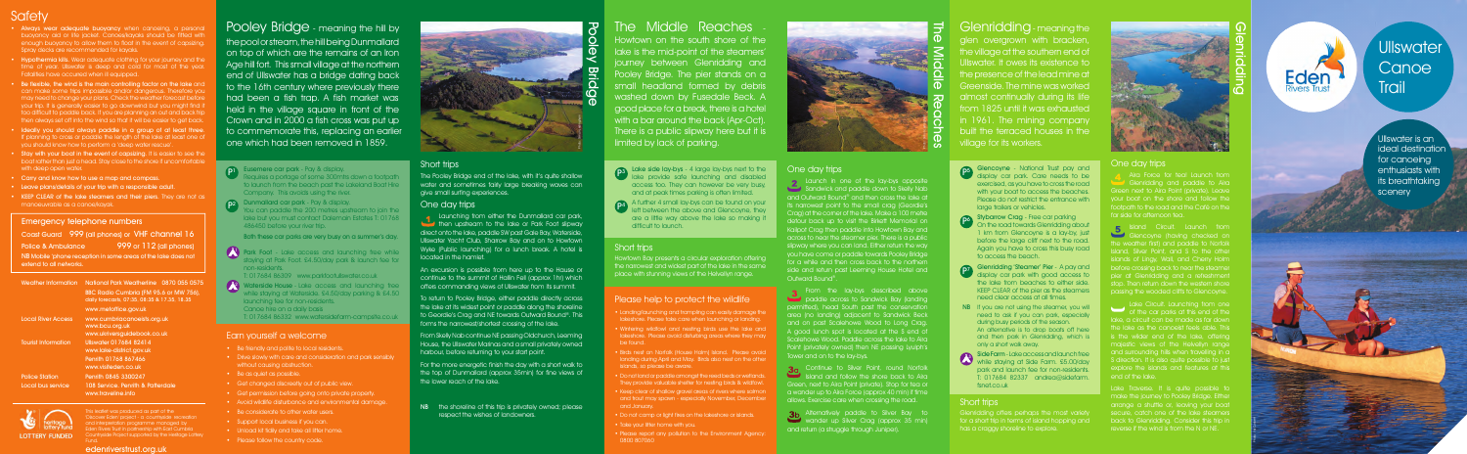

## **Ullswater Canoe Trail**

Ullswater is an ideal destination for canoeing enthusiasts with its breathtaking scenery

## Safety

- Always wear adequate buoyancy when canoeing, a person buoyancy aid or life jacket. Canoes/kayaks should be fitted with enough buoyancy to allow them to float in the event of capsizing. Spray decks are recommended for kayaks.
- Hypothermia kills. Wear adequate clothing for your journey and the time of year. Ullswater is deep and cold for most of the year. Fatalities have occurred when ill equipped.
- Be flexible, the wind is the main controlling factor on the lake and can make some trips impossible and/or dangerous. Therefore you may need to change your plans. Check the weather forecast before your trip. It is generally easier to go downwind but you might find too difficult to paddle back. If you are planning an out and back trip then always set off into the wind so that it will be easier to get back
- Ideally you should always paddle in a group of at least three. If planning to cross or paddle the length of the lake at least one of you should know how to perform a 'deep water rescue'.
- **Stay with your boat in the event of capsizing.** It is easier to see the boat rather than just a head. Stay close to the shore if uncomfortable with deep open water.
- Carry and know how to use a map and compass.
- Leave plans/details of your trip with a responsible adult.
- KEEP CLEAR of the lake steamers and their piers. They are not as manoeuvrable as a canoe/kayak.

Glenridding - meaning the glen overgrown with bracken the village at the southern end of Ullswater. It owes its existence to the presence of the lead mine at Greenside. The mine was worked almost continually during its life from 1825 until it was exhausted in 1961. The mining company built the terraced houses in the village for its workers.

The Pooley Bridge end of the lake, with it's quite shallow water and sometimes fairly large breaking waves can give small surfing experiences.

**Launching from eithe<u>r</u>** the Dunmallard car park, then upstream to the lake or Park Foot slipway direct onto the lake, paddle SW past Gale Bay, Waterside, Ullswater Yacht Club, Sharrow Bay and on to Howtown Wyke (Public launching) for a lunch break. A hotel is located in the hamlet.

on top of which are the remains of an Iron Age hill fort. This small village at the northern end of Ullswater has a bridge dating back to the 16th century where previously there had been a fish trap. A fish market was held in the village square in front of the Crown and in 2000 a fish cross was put up to commemorate this, replacing an earlier one which had been removed in 1859.

> NB the shoreline of this trip is privately owned; please respect the wishes of landowners.

## The Middle Reaches

 $P<sup>4</sup>$  A further 4 small lay-bys can be found on your  $P<sup>4</sup>$  left between the above and Glencovne they between the above and Glencoyne, they are a little way above the lake so making it

Stybarrow Crag - Free car parking P6 Siybanow Clag - Free Car panking<br>
On the road towards Glenridding about 1 km from Glencoyne is a lay-by, just before the large cliff next to the road. Again you have to cross this busy road to access the beach.

Howtown on the south shore of the lake is the mid-point of the steamers' journey between Glenridding and Pooley Bridge. The pier stands on a small headland formed by debris washed down by Fusedale Beck. A good place for a break, there is a hotel with a bar around the back (Apr-Oct). There is a public slipway here but it is limited by lack of parking.

- NB If you are not using the steamer, you will need to ask if you can park, especially during busy periods of the season. An alternative is to drop boats off here and then park in Glenridding, which is only a short walk away.
- 3 Side Farm Lake access and launch free while staying at Side Farm. £5.00/day park and launch fee for non-residents. T: 017684 82337 andrea@sidefarm. fsnet.co.uk

Glenridding and paddle to Aira Green next to Aira Point (private). Leave your boat on the shore and follow the footpath to the road and the Café on the far side for afternoon tea.

#### One day trips

**5** Island Circuit. Launch from Glencoyne (having checked on the weather first) and paddle to Norfolk sland, Silver Point, and S to the other slands of Lingy, Wall, and Cherry Holm before crossing back to near the steamer pier at Glenridding and a refreshment stop. Then return down the western shore passing the wooded cliffs to Glencoyne.

Lake Traverse. It is quite possible to make the journey to Pooley Bridge. Either arrange a shuttle or, leaving your boat secure, catch one of the lake steamers back to Glenridding. Consider this trip in reverse if the wind is from the N or NE.



An excursion is possible from here up to the Hause or continue to the summit of Hallin Fell (approx 1hr) which offers commanding views of Ullswater from its summit.

To return to Pooley Bridge, either paddle directly across the lake at its widest point or paddle along the shoreline to Geordie's Crag and NE towards Outward Bound®. This forms the narrowest/shortest crossing of the lake.

lake but you must contact Dalemain Estates T: 0176 486450 before your river trip.

> From Skelly Nab continue NE passing Oldchurch, Leeming House, the Ullswater Marinas and a small privately owned harbour, before returning to your start point.

ark Foot - Lake access and launching free while staying at Park Foot. £4.50/day park & launch fee for non-residents.

> For the more energetic finish the day with a short walk to the top of Dunmallard (approx 35min) for fine views of the lower reach of the lake.

Lake side lay-bys - 4 large lay-bys next to the **P3** lake provide safe launching and disabled access too. They can however be very busy, and at peak times parking is often limited.

Sandwick and paddle down to Skelly Nab and Outward Bound® and then cross the lake at is narrowest point to the small crag (Geordie's Crag) at the corner of the lake. Make a 100 metre detour back up to visit the Birkett Memorial on Kailpot Crag then paddle into Howtown Bay and across to near the steamer pier. There is a public slipway where you can land. Either return the way you have come or paddle towards Pooley Bridge for a while and then cross back to the northern side and return past Leeming House Hotel and Outward Bound®.

Photo: Simon L

difficult to launch.

Glencoyne - National Trust pay and **P5** display car park. Care needs to be exercised, as you have to cross the road with your boat to access the beaches. Please do not restrict the entrance with large trailers or vehicles.

**30** Continue to Silver Point, round Norfolk **Island and follow the shore back to Aira** Green, next to Aira Point (private). Stop for tea or a wander up to Aira Force (approx 40 min) if time allows. Exercise care when crossing the road.

Alternatively paddle to Silver Bay to wander up Silver Crag (approx 35 min) and return (a struggle through Juniper).

• Do not land or paddle amongst the reed beds or wetlands. They provide valuable shelter for nesting birds & wildfowl. • Keep clear of shallow gravel areas of rivers where salmon and trout may spawn - especially November, December

Glenridding 'Steamer' Pier - A pay and p7 display car park with good access to the lake from beaches to either side. KEEP CLEAR of the pier as the steamers need clear access at all times.

- Get changed discreetly out of public view.
- Get permission before going onto private property.
- Avoid wildlife disturbance and environmental damage.
- Be considerate to other water users.
- Support local business if you can.
- Unload kit tidily and take all litter home.
- Please follow the country code.

#### One day trips

yside Project supported by the Heritage Lotte **LOTTERY FUNDED** Fund.

terside House - Lake access and launching free while staying at Waterside. £4.50/day parking & £4.50 launching fee for non-residents. Canoe hire on a daily basis T: 017684 86332 www.watersidefarm-campsite.co.uk 2

Lake Circuit. Launching from one ake, a circuit can be made as far down the lake as the canoeist feels able. This s the wilder end of the lake, offering majestic views of the Helvellyn range and surrounding hills when travelling in a S direction. It is also quite possible to just explore the islands and features at this end of the lake.

#### Short trips

Howtown Bay presents a circular exploration offering the narrowest and widest part of the lake in the same place with stunning views of the Helvellyn range.

#### Please help to protect the wildlife

#### Short trips

Glenridding offers perhaps the most variety for a short trip in terms of island hopping and has a craggy shoreline to explore.

Both these car parks are very busy on a summer's day.



T: 017684 86309 www.parkfootullswater.co.uk



From the lay-bys described above paddle across to Sandwick Bay (landing permitted), head South past the conservation area (no landing) adjacent to Sandwick Beck and on past Scalehowe Wood to Long Crag. A good lunch spot is located at the S end of Scalehowe Wood. Paddle across the lake to Aira Point (privately owned) then NE passing Lyulph's Tower and on to the lay-bys.

• Landing/launching and trampling can easily damage the lakeshore. Please take care when launching or landing.

• Wintering wildfowl and nesting birds use the lake and lakeshore. Please avoid disturbing areas where they may

landing during April and May. Birds also nest on the other

- 
- be found.
- islands, so please be aware.
- 
- and January.
- 
- Take your litter home with you.
- Please report any pollution to the Environment Agency 0800 807060

• Do not camp or light fires on the lakeshore or islands.

#### Earn yourself a welcome

- Be friendly and polite to local residents.
- Drive slowly with care and consideration and park sensibly without causing obstruction.
- Be as quiet as possible.

#### Emergency telephone numbers

Coast Guard 999 (all phones) or VHF channel 16 Police & Ambulance 999 or 112 (all phones) NB Mobile 'phone reception in some areas of the lake does not extend to all networks.

| Weather Information        | National Park Weatherline 0870 055 0575<br>BBC Radio Cumbria (FM 95.6 or MW 756),<br>daily forecasts, 07:35, 08:35 & 17.35, 18.35<br>www.metoffice.gov.uk |
|----------------------------|-----------------------------------------------------------------------------------------------------------------------------------------------------------|
| <b>Local River Access</b>  | www.cumbriacanoeists.org.uk<br>www.bcu.org.uk<br>www.ukriversquidebook.co.uk                                                                              |
| <b>Tourist Information</b> | Ullswater 017684 82414<br>www.lake-district.gov.uk<br>Penrith 01768 867466<br>www.visiteden.co.uk                                                         |
| <b>Police Station</b>      | Penrith 0845 3300247                                                                                                                                      |
| Local bus service          | 108 Service, Penrith & Patterdale<br>www.traveline.info                                                                                                   |
|                            |                                                                                                                                                           |

edenriverstrust.org.uk

## Pooley Bridge - meaning the hill by the pool or stream, the hill being Dunmallard

edingham

1



The Middle Reaches

- 51



#### Short trips